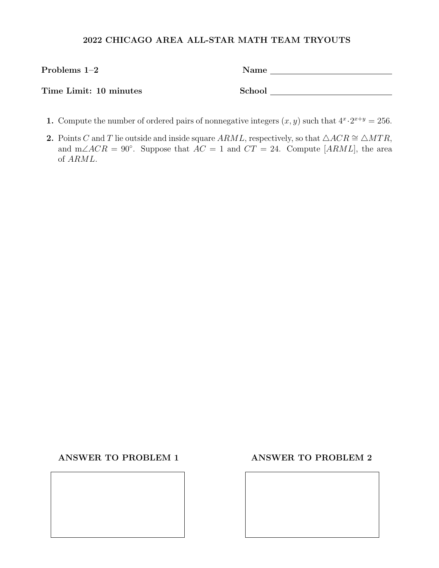| Problems $1-2$         | Name   |
|------------------------|--------|
| Time Limit: 10 minutes | School |

- 1. Compute the number of ordered pairs of nonnegative integers  $(x, y)$  such that  $4^x \cdot 2^{x+y} = 256$ .
- 2. Points C and T lie outside and inside square ARML, respectively, so that  $\triangle ACR \cong \triangle MTR$ , and m∠ACR = 90°. Suppose that  $AC = 1$  and  $CT = 24$ . Compute [ARML], the area of ARML.

ANSWER TO PROBLEM 1 ANSWER TO PROBLEM 2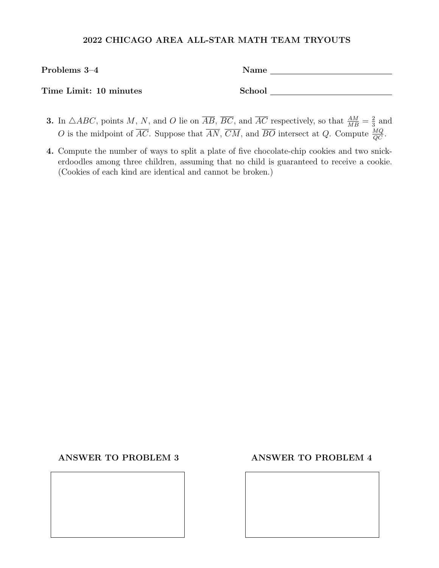| Problems 3–4           | Name   |
|------------------------|--------|
| Time Limit: 10 minutes | School |

- **3.** In  $\triangle ABC$ , points M, N, and O lie on  $\overline{AB}$ ,  $\overline{BC}$ , and  $\overline{AC}$  respectively, so that  $\frac{AM}{MB} = \frac{2}{3}$  $rac{2}{3}$  and O is the midpoint of  $\overline{AC}$ . Suppose that  $\overline{AN}$ ,  $\overline{CM}$ , and  $\overline{BO}$  intersect at Q. Compute  $\frac{MQ}{QC}$ .
- 4. Compute the number of ways to split a plate of five chocolate-chip cookies and two snickerdoodles among three children, assuming that no child is guaranteed to receive a cookie. (Cookies of each kind are identical and cannot be broken.)

ANSWER TO PROBLEM 3 ANSWER TO PROBLEM 4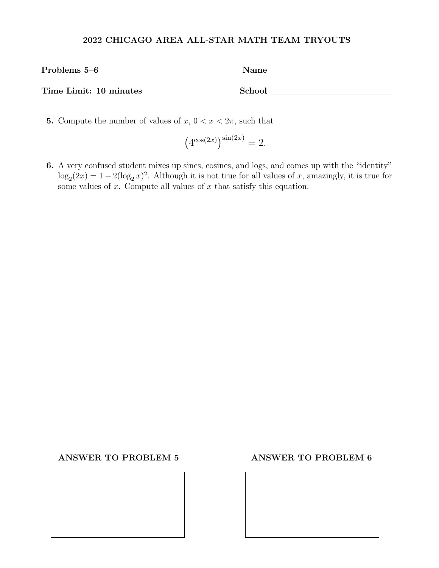| Problems 5–6           | Name   |  |
|------------------------|--------|--|
| Time Limit: 10 minutes | School |  |

5. Compute the number of values of  $x, 0 < x < 2\pi$ , such that

$$
\left(4^{\cos(2x)}\right)^{\sin(2x)} = 2.
$$

6. A very confused student mixes up sines, cosines, and logs, and comes up with the "identity"  $\log_2(2x) = 1 - 2(\log_2 x)^2$ . Although it is not true for all values of x, amazingly, it is true for some values of x. Compute all values of x that satisfy this equation.

### ANSWER TO PROBLEM 5 ANSWER TO PROBLEM 6

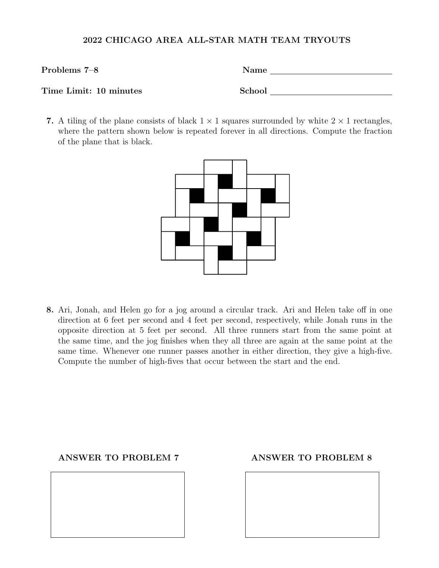| Problems 7-8           | Name   |  |
|------------------------|--------|--|
|                        |        |  |
| Time Limit: 10 minutes | School |  |

7. A tiling of the plane consists of black  $1 \times 1$  squares surrounded by white  $2 \times 1$  rectangles, where the pattern shown below is repeated forever in all directions. Compute the fraction of the plane that is black.



8. Ari, Jonah, and Helen go for a jog around a circular track. Ari and Helen take off in one direction at 6 feet per second and 4 feet per second, respectively, while Jonah runs in the opposite direction at 5 feet per second. All three runners start from the same point at the same time, and the jog finishes when they all three are again at the same point at the same time. Whenever one runner passes another in either direction, they give a high-five. Compute the number of high-fives that occur between the start and the end.

## ANSWER TO PROBLEM 7 ANSWER TO PROBLEM 8

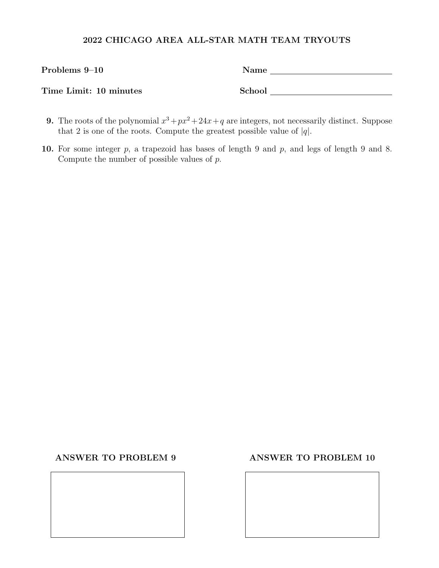| Problems 9–10          | Name   |
|------------------------|--------|
| Time Limit: 10 minutes | School |

- **9.** The roots of the polynomial  $x^3 + px^2 + 24x + q$  are integers, not necessarily distinct. Suppose that 2 is one of the roots. Compute the greatest possible value of  $|q|$ .
- 10. For some integer p, a trapezoid has bases of length 9 and p, and legs of length 9 and 8. Compute the number of possible values of  $p$ .

### ANSWER TO PROBLEM 9 ANSWER TO PROBLEM 10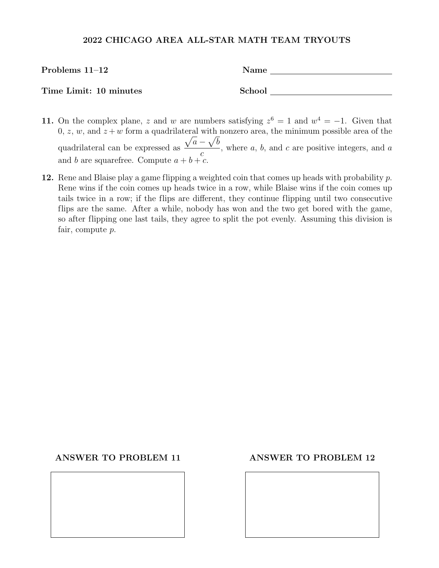| Problems $11-12$       | Name   |
|------------------------|--------|
| Time Limit: 10 minutes | School |

- 11. On the complex plane, z and w are numbers satisfying  $z^6 = 1$  and  $w^4 = -1$ . Given that  $0, z, w$ , and  $z+w$  form a quadrilateral with nonzero area, the minimum possible area of the quadrilateral can be expressed as  $\sqrt{a} - \sqrt{b}$  $\mathcal{C}_{0}$ , where  $a, b$ , and  $c$  are positive integers, and  $a$ and b are squarefree. Compute  $a + b + c$ .
- 12. Rene and Blaise play a game flipping a weighted coin that comes up heads with probability  $p$ . Rene wins if the coin comes up heads twice in a row, while Blaise wins if the coin comes up tails twice in a row; if the flips are different, they continue flipping until two consecutive flips are the same. After a while, nobody has won and the two get bored with the game, so after flipping one last tails, they agree to split the pot evenly. Assuming this division is fair, compute p.

### ANSWER TO PROBLEM 11 ANSWER TO PROBLEM 12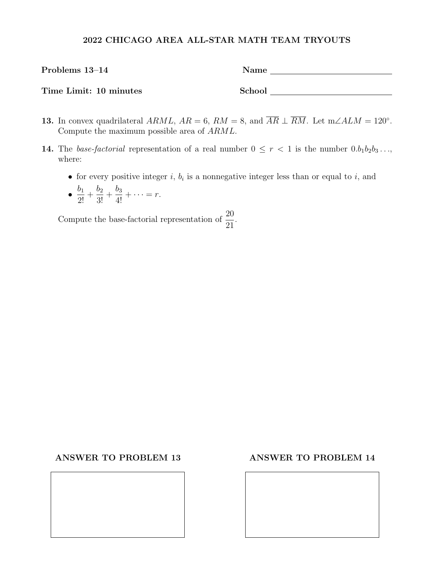| Problems 13-14         | <b>Name</b> |
|------------------------|-------------|
| Time Limit: 10 minutes | School      |

- **13.** In convex quadrilateral  $ARML$ ,  $AR = 6$ ,  $RM = 8$ , and  $\overline{AR} \perp \overline{RM}$ . Let  $m\angle ALM = 120^{\circ}$ . Compute the maximum possible area of ARML.
- 14. The base-factorial representation of a real number  $0 \leq r < 1$  is the number  $0.b_1b_2b_3...,$ where:
	- for every positive integer  $i, b_i$  is a nonnegative integer less than or equal to  $i$ , and
	- $\bullet$   $\frac{b_1}{2!}$  $\frac{1}{2!}$  +  $b_2$  $rac{62}{3!}$  +  $\frac{b_3}{4!} + \cdots = r.$

Compute the base-factorial representation of  $\frac{20}{21}$ 21 .

### ANSWER TO PROBLEM 13 ANSWER TO PROBLEM 14

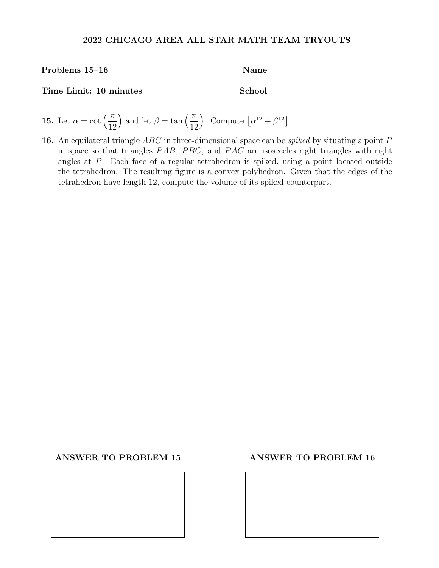Problems 15–16 Name Name

Time Limit: 10 minutes School

- **15.** Let  $\alpha = \cot \left( \frac{\pi}{16} \right)$ 12 ) and let  $\beta = \tan \left( \frac{\pi}{16} \right)$ 12 ). Compute  $\left| \alpha^{12} + \beta^{12} \right|$ .
- 16. An equilateral triangle  $ABC$  in three-dimensional space can be *spiked* by situating a point  $P$ in space so that triangles  $PAB$ ,  $PBC$ , and  $PAC$  are isoseceles right triangles with right angles at P. Each face of a regular tetrahedron is spiked, using a point located outside the tetrahedron. The resulting figure is a convex polyhedron. Given that the edges of the tetrahedron have length 12, compute the volume of its spiked counterpart.

## ANSWER TO PROBLEM 15 ANSWER TO PROBLEM 16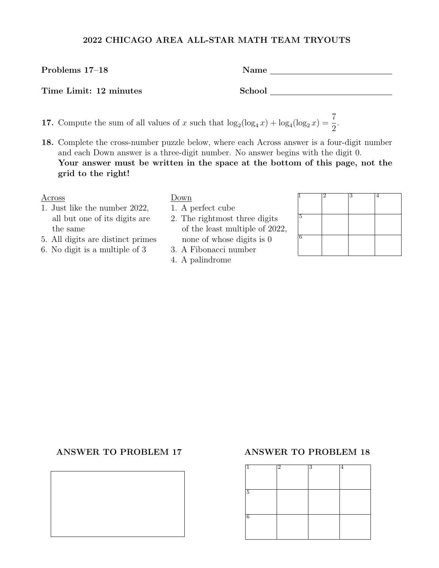# Time Limit: 12 minutes School

- 17. Compute the sum of all values of x such that  $\log_2(\log_4 x) + \log_4(\log_2 x) = \frac{7}{2}$
- 18. Complete the cross-number puzzle below, where each Across answer is a four-digit number and each Down answer is a three-digit number. No answer begins with the digit 0. Your answer must be written in the space at the bottom of this page, not the grid to the right!

- 1. Just like the number 2022, 1. A perfect cube all but one of its digits are  $\qquad$  2. The rightmost three digits the same of the least multiple of 2022,
- 5. All digits are distinct primes none of whose digits is 0
- 6. No digit is a multiple of  $3 \qquad$  3. A Fibonacci number
	- 4. A palindrome

| Across                            | Down                           |  |  |
|-----------------------------------|--------------------------------|--|--|
| 1. Just like the number 2022,     | 1. A perfect cube              |  |  |
| all but one of its digits are     | 2. The rightmost three digits  |  |  |
| the same                          | of the least multiple of 2022, |  |  |
| 5. All digits are distinct primes | none of whose digits is 0      |  |  |
| 6. No digit is a multiple of 3    | 3. A Fibonacci number          |  |  |

.

### ANSWER TO PROBLEM 17 ANSWER TO PROBLEM 18



Problems 17–18 Name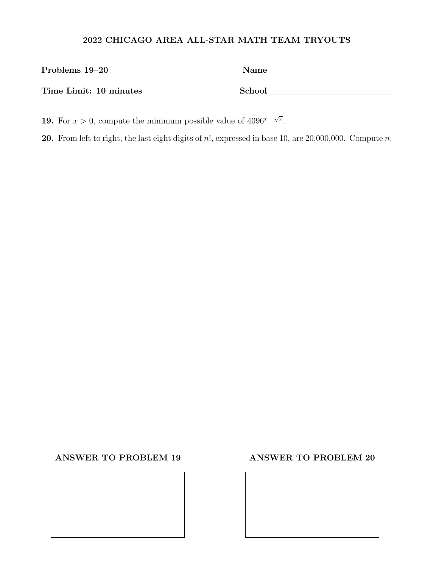| Problems 19–20         | Name   |
|------------------------|--------|
| Time Limit: 10 minutes | School |

**19.** For  $x > 0$ , compute the minimum possible value of  $4096^x - \sqrt{x}$ .

20. From left to right, the last eight digits of  $n!$ , expressed in base 10, are 20,000,000. Compute  $n$ .

# ANSWER TO PROBLEM 19 ANSWER TO PROBLEM 20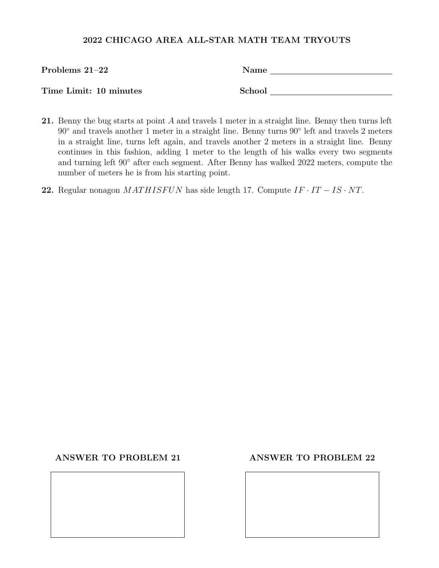| Problems $21-22$       | Name   |
|------------------------|--------|
| Time Limit: 10 minutes | School |

- 21. Benny the bug starts at point A and travels 1 meter in a straight line. Benny then turns left 90◦ and travels another 1 meter in a straight line. Benny turns 90◦ left and travels 2 meters in a straight line, turns left again, and travels another 2 meters in a straight line. Benny continues in this fashion, adding 1 meter to the length of his walks every two segments and turning left 90◦ after each segment. After Benny has walked 2022 meters, compute the number of meters he is from his starting point.
- 22. Regular nonagon MATHISFUN has side length 17. Compute  $IF \cdot IT IS \cdot NT$ .

## ANSWER TO PROBLEM 21 ANSWER TO PROBLEM 22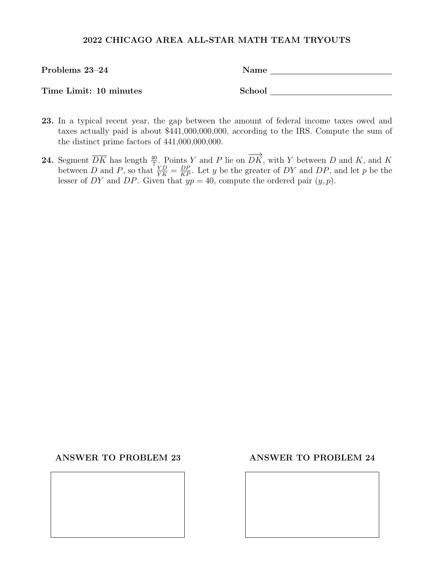| Problems 23-24         | Name   |  |
|------------------------|--------|--|
|                        |        |  |
| Time Limit: 10 minutes | School |  |

- 23. In a typical recent year, the gap between the amount of federal income taxes owed and taxes actually paid is about \$441,000,000,000, according to the IRS. Compute the sum of the distinct prime factors of 441,000,000,000.
- **24.** Segment  $\overline{DK}$  has length  $\frac{40}{7}$ . Points Y and P lie on  $\overrightarrow{DK}$ , with Y between D and K, and K between D and P, so that  $\frac{YD}{YK} = \frac{DP}{KP}$ . Let y be the greater of DY and DP, and let p be the lesser of DY and DP. Given that  $yp = 40$ , compute the ordered pair  $(y, p)$ .

### ANSWER TO PROBLEM 23 ANSWER TO PROBLEM 24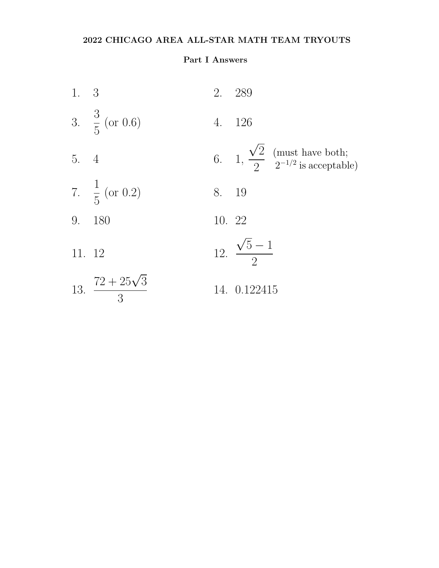# Part I Answers

| 1. 3   |                               |        | 2. 289                                                                          |
|--------|-------------------------------|--------|---------------------------------------------------------------------------------|
|        | 3. $\frac{3}{5}$ (or 0.6)     |        | 4. 126                                                                          |
| 5. 4   |                               |        | 6. 1, $\frac{\sqrt{2}}{2}$ (must have both;<br>2 <sup>-1/2</sup> is acceptable) |
|        | 7. $\frac{1}{5}$ (or 0.2)     | 8. 19  |                                                                                 |
|        | 9. 180                        | 10. 22 |                                                                                 |
| 11. 12 |                               |        | 12. $\frac{\sqrt{5}-1}{2}$                                                      |
|        | 13. $\frac{72+25\sqrt{3}}{3}$ |        | 14. 0.122415                                                                    |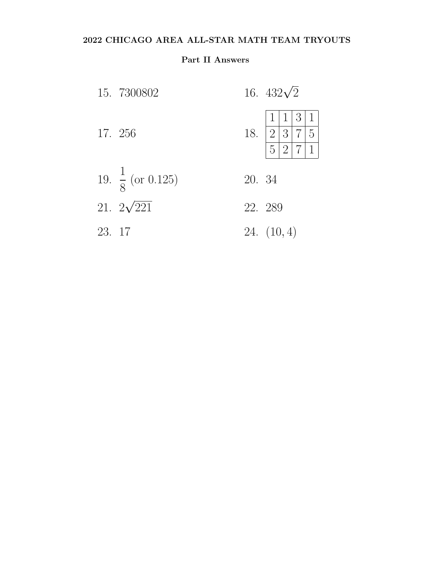# Part II Answers

|        | 15. 7300802                  |        | 16. $432\sqrt{2}$                                                                                                  |
|--------|------------------------------|--------|--------------------------------------------------------------------------------------------------------------------|
|        | 17. 256                      |        | 131<br>$\mathbf{1}$<br>18. $\begin{array}{ c c c c }\n\hline\n2 & 3 & 7 & 5 \\ \hline\n5 & 2 & 7 & 1\n\end{array}$ |
|        | 19. $\frac{1}{8}$ (or 0.125) | 20. 34 |                                                                                                                    |
|        | 21. $2\sqrt{221}$            |        | 22. 289                                                                                                            |
| 23. 17 |                              |        | 24. $(10, 4)$                                                                                                      |